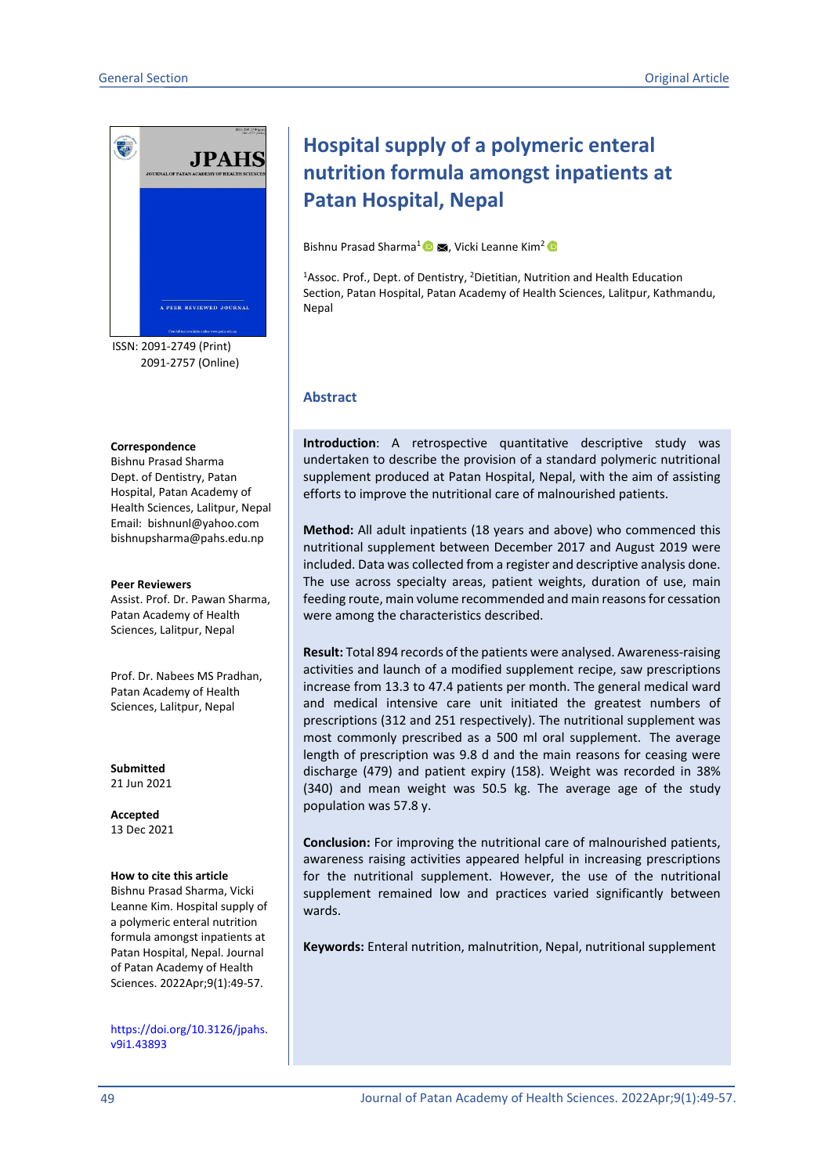

ISSN: 2091-2749 (Print) 2091-2757 (Online)

#### **Correspondence**

Bishnu Prasad Sharma Dept. of Dentistry, Patan Hospital, Patan Academy of Health Sciences, Lalitpur, Nepal Email: bishnunl@yahoo.com bishnupsharma@pahs.edu.np

#### **Peer Reviewers**

Assist. Prof. Dr. Pawan Sharma, Patan Academy of Health Sciences, Lalitpur, Nepal

Prof. Dr. Nabees MS Pradhan, Patan Academy of Health Sciences, Lalitpur, Nepal

**Submitted** 21 Jun 2021

**Accepted** 13 Dec 2021

#### **How to cite this article**

Bishnu Prasad Sharma, Vicki Leanne Kim. Hospital supply of a polymeric enteral nutrition formula amongst inpatients at Patan Hospital, Nepal. Journal of Patan Academy of Health Sciences. 2022Apr;9(1):49-57.

[https://doi.org/10.3126/jpahs.](https://doi.org/10.3126/jpahs.v9i1.43893) [v9i1.43893](https://doi.org/10.3126/jpahs.v9i1.43893)

# **Hospital supply of a polymeric enteral nutrition formula amongst inpatients at Patan Hospital, Nepal**

Bishnu Prasad Sharma<sup>1</sup> **D E**, Vicki Leanne Kim<sup>2</sup> **D** 

<sup>1</sup>Assoc. Prof., Dept. of Dentistry, <sup>2</sup>Dietitian, Nutrition and Health Education Section, Patan Hospital, Patan Academy of Health Sciences, Lalitpur, Kathmandu, Nepal

#### **Abstract**

**Introduction**: A retrospective quantitative descriptive study was undertaken to describe the provision of a standard polymeric nutritional supplement produced at Patan Hospital, Nepal, with the aim of assisting efforts to improve the nutritional care of malnourished patients.

**Method:** All adult inpatients (18 years and above) who commenced this nutritional supplement between December 2017 and August 2019 were included. Data was collected from a register and descriptive analysis done. The use across specialty areas, patient weights, duration of use, main feeding route, main volume recommended and main reasons for cessation were among the characteristics described.

**Result:** Total 894 records of the patients were analysed. Awareness-raising activities and launch of a modified supplement recipe, saw prescriptions increase from 13.3 to 47.4 patients per month. The general medical ward and medical intensive care unit initiated the greatest numbers of prescriptions (312 and 251 respectively). The nutritional supplement was most commonly prescribed as a 500 ml oral supplement. The average length of prescription was 9.8 d and the main reasons for ceasing were discharge (479) and patient expiry (158). Weight was recorded in 38% (340) and mean weight was 50.5 kg. The average age of the study population was 57.8 y.

**Conclusion:** For improving the nutritional care of malnourished patients, awareness raising activities appeared helpful in increasing prescriptions for the nutritional supplement. However, the use of the nutritional supplement remained low and practices varied significantly between wards.

**Keywords:** Enteral nutrition, malnutrition, Nepal, nutritional supplement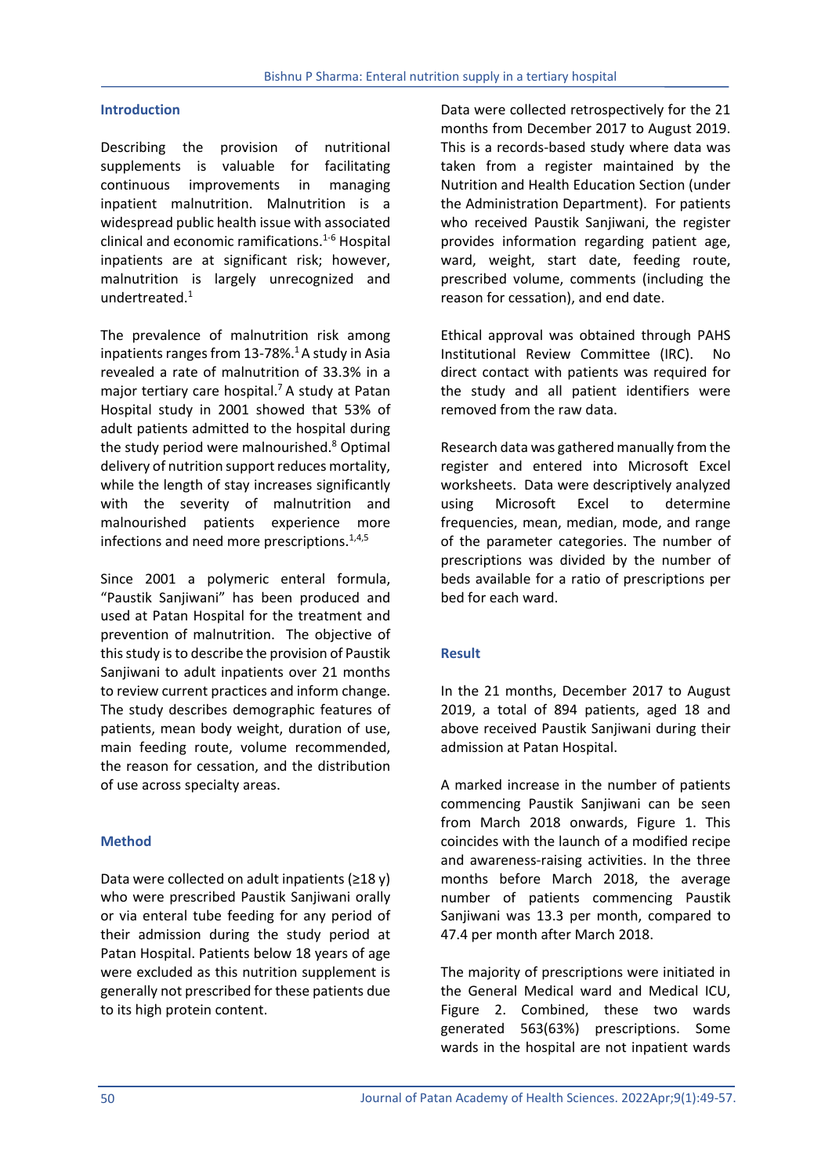### **Introduction**

Describing the provision of nutritional supplements is valuable for facilitating continuous improvements in managing inpatient malnutrition. Malnutrition is a widespread public health issue with associated clinical and economic ramifications.1-6 Hospital inpatients are at significant risk; however, malnutrition is largely unrecognized and undertreated.1

The prevalence of malnutrition risk among inpatients ranges from  $13-78\%$ .<sup>1</sup> A study in Asia revealed a rate of malnutrition of 33.3% in a major tertiary care hospital.<sup>7</sup> A study at Patan Hospital study in 2001 showed that 53% of adult patients admitted to the hospital during the study period were malnourished.<sup>8</sup> Optimal delivery of nutrition support reduces mortality, while the length of stay increases significantly with the severity of malnutrition and malnourished patients experience more infections and need more prescriptions.<sup>1,4,5</sup>

Since 2001 a polymeric enteral formula, "Paustik Sanjiwani" has been produced and used at Patan Hospital for the treatment and prevention of malnutrition. The objective of this study is to describe the provision of Paustik Sanjiwani to adult inpatients over 21 months to review current practices and inform change. The study describes demographic features of patients, mean body weight, duration of use, main feeding route, volume recommended, the reason for cessation, and the distribution of use across specialty areas.

### **Method**

Data were collected on adult inpatients  $(218 y)$ who were prescribed Paustik Sanjiwani orally or via enteral tube feeding for any period of their admission during the study period at Patan Hospital. Patients below 18 years of age were excluded as this nutrition supplement is generally not prescribed for these patients due to its high protein content.

Data were collected retrospectively for the 21 months from December 2017 to August 2019. This is a records-based study where data was taken from a register maintained by the Nutrition and Health Education Section (under the Administration Department). For patients who received Paustik Saniiwani, the register provides information regarding patient age, ward, weight, start date, feeding route, prescribed volume, comments (including the reason for cessation), and end date.

Ethical approval was obtained through PAHS Institutional Review Committee (IRC). No direct contact with patients was required for the study and all patient identifiers were removed from the raw data.

Research data was gathered manually from the register and entered into Microsoft Excel worksheets. Data were descriptively analyzed using Microsoft Excel to determine frequencies, mean, median, mode, and range of the parameter categories. The number of prescriptions was divided by the number of beds available for a ratio of prescriptions per bed for each ward.

### **Result**

In the 21 months, December 2017 to August 2019, a total of 894 patients, aged 18 and above received Paustik Sanjiwani during their admission at Patan Hospital.

A marked increase in the number of patients commencing Paustik Sanjiwani can be seen from March 2018 onwards, Figure 1. This coincides with the launch of a modified recipe and awareness-raising activities. In the three months before March 2018, the average number of patients commencing Paustik Sanjiwani was 13.3 per month, compared to 47.4 per month after March 2018.

The majority of prescriptions were initiated in the General Medical ward and Medical ICU, Figure 2. Combined, these two wards generated 563(63%) prescriptions. Some wards in the hospital are not inpatient wards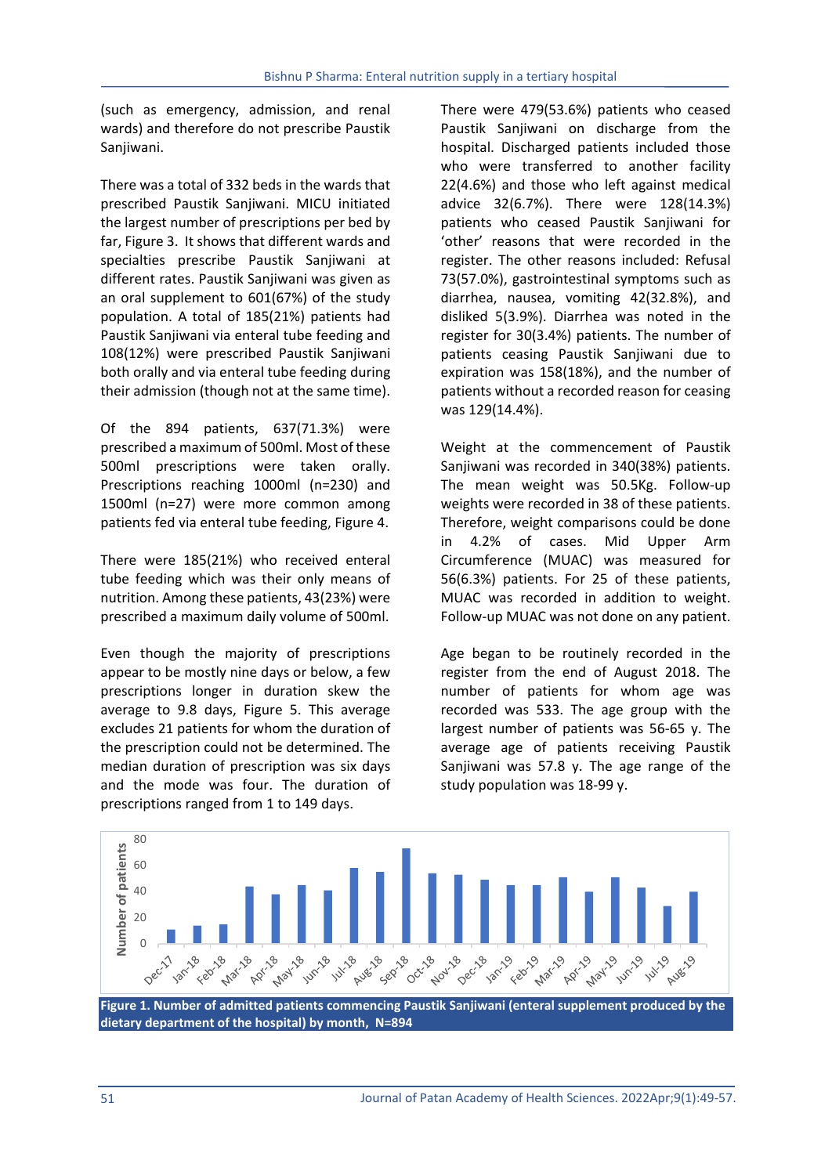(such as emergency, admission, and renal wards) and therefore do not prescribe Paustik Sanjiwani.

There was a total of 332 beds in the wards that prescribed Paustik Sanjiwani. MICU initiated the largest number of prescriptions per bed by far, Figure 3. It shows that different wards and specialties prescribe Paustik Sanjiwani at different rates. Paustik Sanjiwani was given as an oral supplement to 601(67%) of the study population. A total of 185(21%) patients had Paustik Sanjiwani via enteral tube feeding and 108(12%) were prescribed Paustik Sanjiwani both orally and via enteral tube feeding during their admission (though not at the same time).

Of the 894 patients, 637(71.3%) were prescribed a maximum of 500ml. Most of these 500ml prescriptions were taken orally. Prescriptions reaching 1000ml (n=230) and 1500ml (n=27) were more common among patients fed via enteral tube feeding, Figure 4.

There were 185(21%) who received enteral tube feeding which was their only means of nutrition. Among these patients, 43(23%) were prescribed a maximum daily volume of 500ml.

Even though the majority of prescriptions appear to be mostly nine days or below, a few prescriptions longer in duration skew the average to 9.8 days, Figure 5. This average excludes 21 patients for whom the duration of the prescription could not be determined. The median duration of prescription was six days and the mode was four. The duration of prescriptions ranged from 1 to 149 days.

There were 479(53.6%) patients who ceased Paustik Sanjiwani on discharge from the hospital. Discharged patients included those who were transferred to another facility 22(4.6%) and those who left against medical advice 32(6.7%). There were 128(14.3%) patients who ceased Paustik Sanjiwani for 'other' reasons that were recorded in the register. The other reasons included: Refusal 73(57.0%), gastrointestinal symptoms such as diarrhea, nausea, vomiting 42(32.8%), and disliked 5(3.9%). Diarrhea was noted in the register for 30(3.4%) patients. The number of patients ceasing Paustik Sanjiwani due to expiration was 158(18%), and the number of patients without a recorded reason for ceasing was 129(14.4%).

Weight at the commencement of Paustik Sanjiwani was recorded in 340(38%) patients. The mean weight was 50.5Kg. Follow-up weights were recorded in 38 of these patients. Therefore, weight comparisons could be done in 4.2% of cases. Mid Upper Arm Circumference (MUAC) was measured for 56(6.3%) patients. For 25 of these patients, MUAC was recorded in addition to weight. Follow-up MUAC was not done on any patient.

Age began to be routinely recorded in the register from the end of August 2018. The number of patients for whom age was recorded was 533. The age group with the largest number of patients was 56-65 y. The average age of patients receiving Paustik Sanjiwani was 57.8 y. The age range of the study population was 18-99 y.

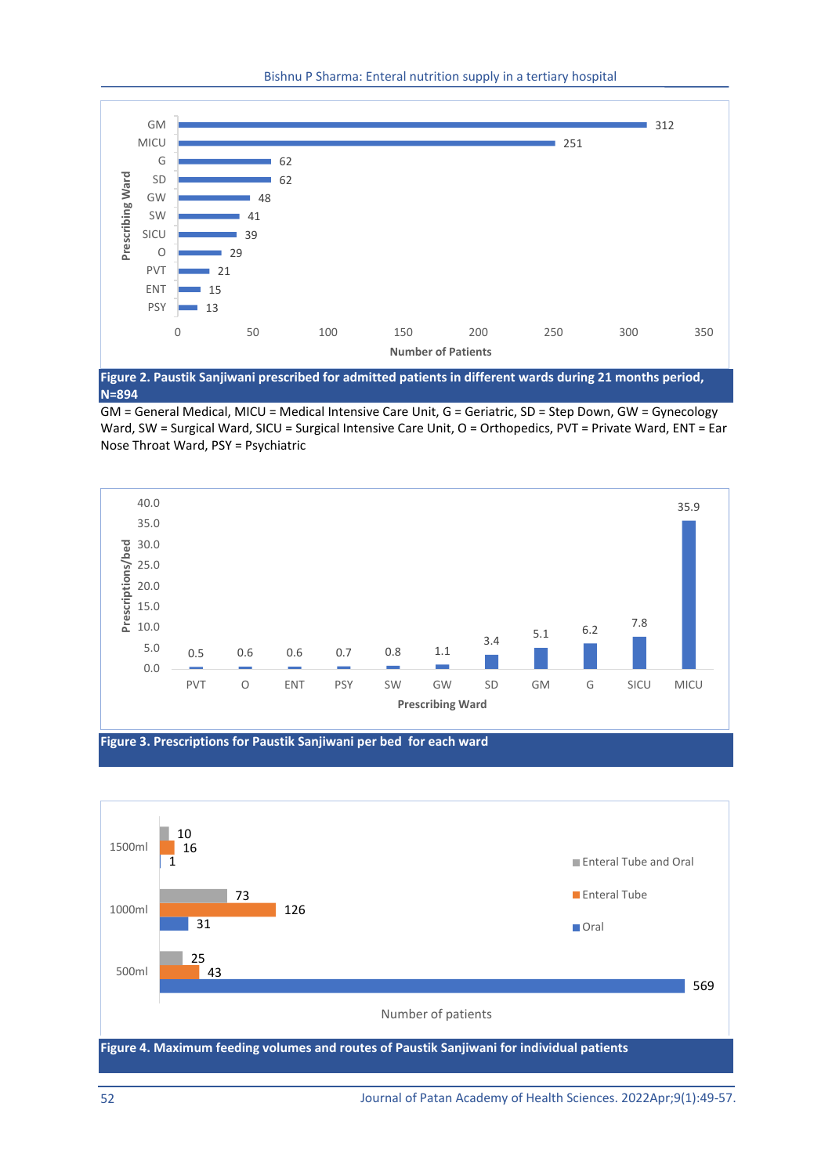



GM = General Medical, MICU = Medical Intensive Care Unit, G = Geriatric, SD = Step Down, GW = Gynecology Ward, SW = Surgical Ward, SICU = Surgical Intensive Care Unit, O = Orthopedics, PVT = Private Ward, ENT = Ear Nose Throat Ward, PSY = Psychiatric



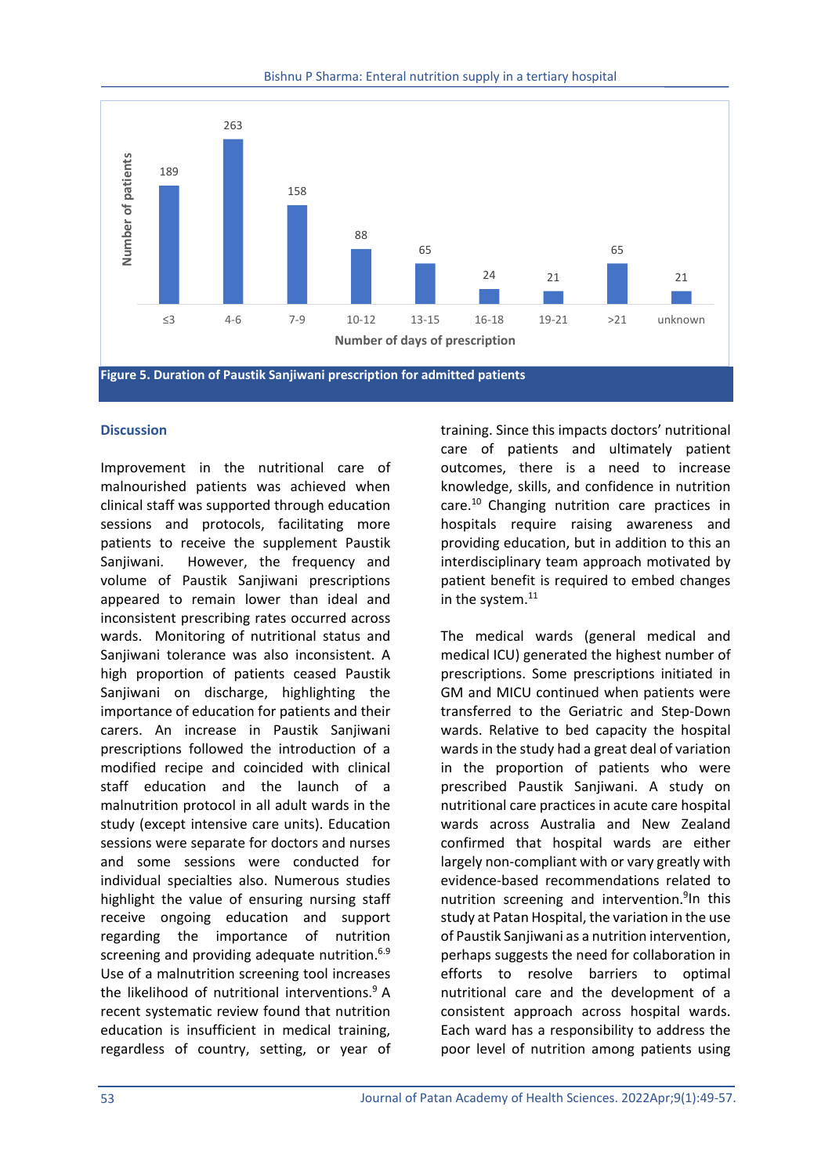

**Figure 5. Duration of Paustik Sanjiwani prescription for admitted patients** 

### **Discussion**

Improvement in the nutritional care of malnourished patients was achieved when clinical staff was supported through education sessions and protocols, facilitating more patients to receive the supplement Paustik Sanjiwani. However, the frequency and volume of Paustik Sanjiwani prescriptions appeared to remain lower than ideal and inconsistent prescribing rates occurred across wards. Monitoring of nutritional status and Sanjiwani tolerance was also inconsistent. A high proportion of patients ceased Paustik Sanjiwani on discharge, highlighting the importance of education for patients and their carers. An increase in Paustik Sanjiwani prescriptions followed the introduction of a modified recipe and coincided with clinical staff education and the launch of a malnutrition protocol in all adult wards in the study (except intensive care units). Education sessions were separate for doctors and nurses and some sessions were conducted for individual specialties also. Numerous studies highlight the value of ensuring nursing staff receive ongoing education and support regarding the importance of nutrition screening and providing adequate nutrition.<sup>6.9</sup> Use of a malnutrition screening tool increases the likelihood of nutritional interventions. $9A$ recent systematic review found that nutrition education is insufficient in medical training, regardless of country, setting, or year of training. Since this impacts doctors' nutritional care of patients and ultimately patient outcomes, there is a need to increase knowledge, skills, and confidence in nutrition care.<sup>10</sup> Changing nutrition care practices in hospitals require raising awareness and providing education, but in addition to this an interdisciplinary team approach motivated by patient benefit is required to embed changes in the system. $^{11}$ 

The medical wards (general medical and medical ICU) generated the highest number of prescriptions. Some prescriptions initiated in GM and MICU continued when patients were transferred to the Geriatric and Step-Down wards. Relative to bed capacity the hospital wards in the study had a great deal of variation in the proportion of patients who were prescribed Paustik Sanjiwani. A study on nutritional care practices in acute care hospital wards across Australia and New Zealand confirmed that hospital wards are either largely non-compliant with or vary greatly with evidence-based recommendations related to nutrition screening and intervention.<sup>9</sup>In this study at Patan Hospital, the variation in the use of Paustik Sanjiwani as a nutrition intervention, perhaps suggests the need for collaboration in efforts to resolve barriers to optimal nutritional care and the development of a consistent approach across hospital wards. Each ward has a responsibility to address the poor level of nutrition among patients using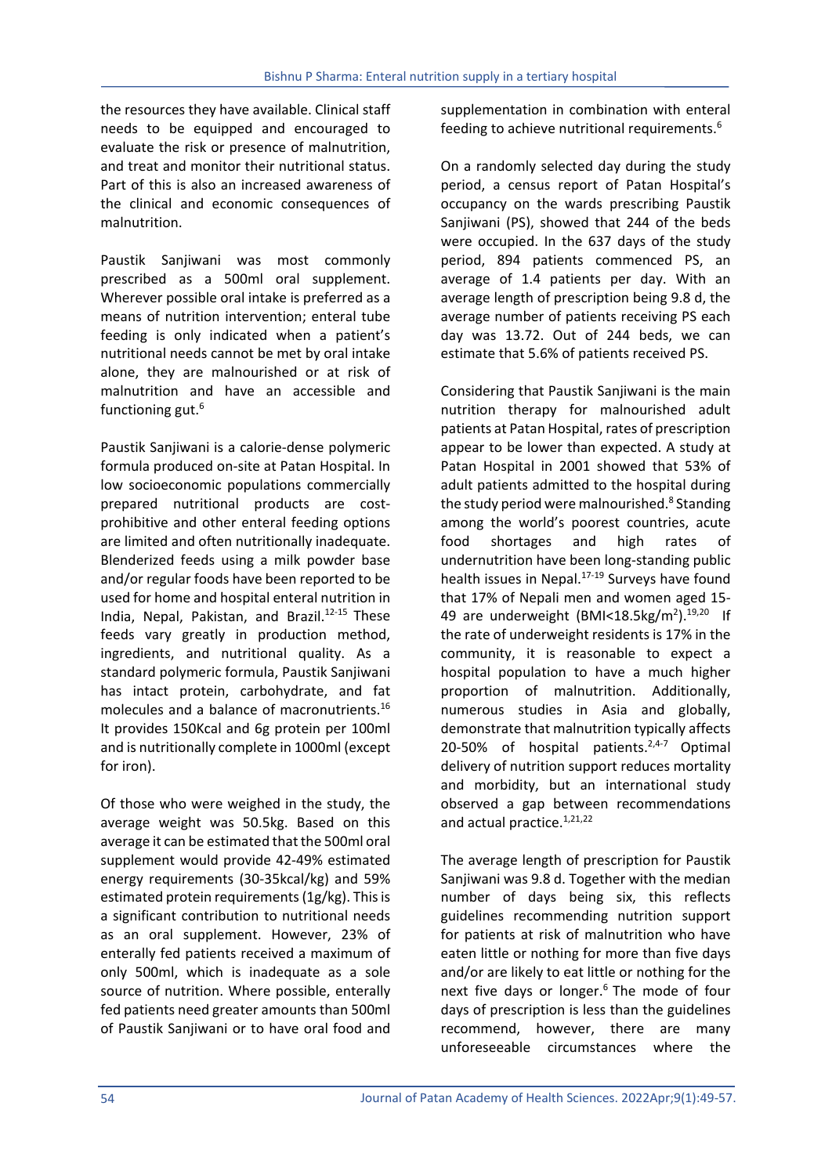the resources they have available. Clinical staff needs to be equipped and encouraged to evaluate the risk or presence of malnutrition, and treat and monitor their nutritional status. Part of this is also an increased awareness of the clinical and economic consequences of malnutrition.

Paustik Sanjiwani was most commonly prescribed as a 500ml oral supplement. Wherever possible oral intake is preferred as a means of nutrition intervention; enteral tube feeding is only indicated when a patient's nutritional needs cannot be met by oral intake alone, they are malnourished or at risk of malnutrition and have an accessible and functioning gut.<sup>6</sup>

Paustik Sanjiwani is a calorie-dense polymeric formula produced on-site at Patan Hospital. In low socioeconomic populations commercially prepared nutritional products are costprohibitive and other enteral feeding options are limited and often nutritionally inadequate. Blenderized feeds using a milk powder base and/or regular foods have been reported to be used for home and hospital enteral nutrition in India, Nepal, Pakistan, and Brazil.<sup>12-15</sup> These feeds vary greatly in production method, ingredients, and nutritional quality. As a standard polymeric formula, Paustik Sanjiwani has intact protein, carbohydrate, and fat molecules and a balance of macronutrients.16 It provides 150Kcal and 6g protein per 100ml and is nutritionally complete in 1000ml (except for iron).

Of those who were weighed in the study, the average weight was 50.5kg. Based on this average it can be estimated that the 500ml oral supplement would provide 42-49% estimated energy requirements (30-35kcal/kg) and 59% estimated protein requirements (1g/kg). This is a significant contribution to nutritional needs as an oral supplement. However, 23% of enterally fed patients received a maximum of only 500ml, which is inadequate as a sole source of nutrition. Where possible, enterally fed patients need greater amounts than 500ml of Paustik Sanjiwani or to have oral food and

supplementation in combination with enteral feeding to achieve nutritional requirements.<sup>6</sup>

On a randomly selected day during the study period, a census report of Patan Hospital's occupancy on the wards prescribing Paustik Sanjiwani (PS), showed that 244 of the beds were occupied. In the 637 days of the study period, 894 patients commenced PS, an average of 1.4 patients per day. With an average length of prescription being 9.8 d, the average number of patients receiving PS each day was 13.72. Out of 244 beds, we can estimate that 5.6% of patients received PS.

Considering that Paustik Sanjiwani is the main nutrition therapy for malnourished adult patients at Patan Hospital, rates of prescription appear to be lower than expected. A study at Patan Hospital in 2001 showed that 53% of adult patients admitted to the hospital during the study period were malnourished.<sup>8</sup> Standing among the world's poorest countries, acute food shortages and high rates of undernutrition have been long-standing public health issues in Nepal.<sup>17-19</sup> Surveys have found that 17% of Nepali men and women aged 15- 49 are underweight (BMI<18.5kg/m<sup>2</sup>).<sup>19,20</sup> If the rate of underweight residents is 17% in the community, it is reasonable to expect a hospital population to have a much higher proportion of malnutrition. Additionally, numerous studies in Asia and globally, demonstrate that malnutrition typically affects 20-50% of hospital patients. $2,4-7$  Optimal delivery of nutrition support reduces mortality and morbidity, but an international study observed a gap between recommendations and actual practice.<sup>1,21,22</sup>

The average length of prescription for Paustik Sanjiwani was 9.8 d. Together with the median number of days being six, this reflects guidelines recommending nutrition support for patients at risk of malnutrition who have eaten little or nothing for more than five days and/or are likely to eat little or nothing for the next five days or longer. $6$  The mode of four days of prescription is less than the guidelines recommend, however, there are many unforeseeable circumstances where the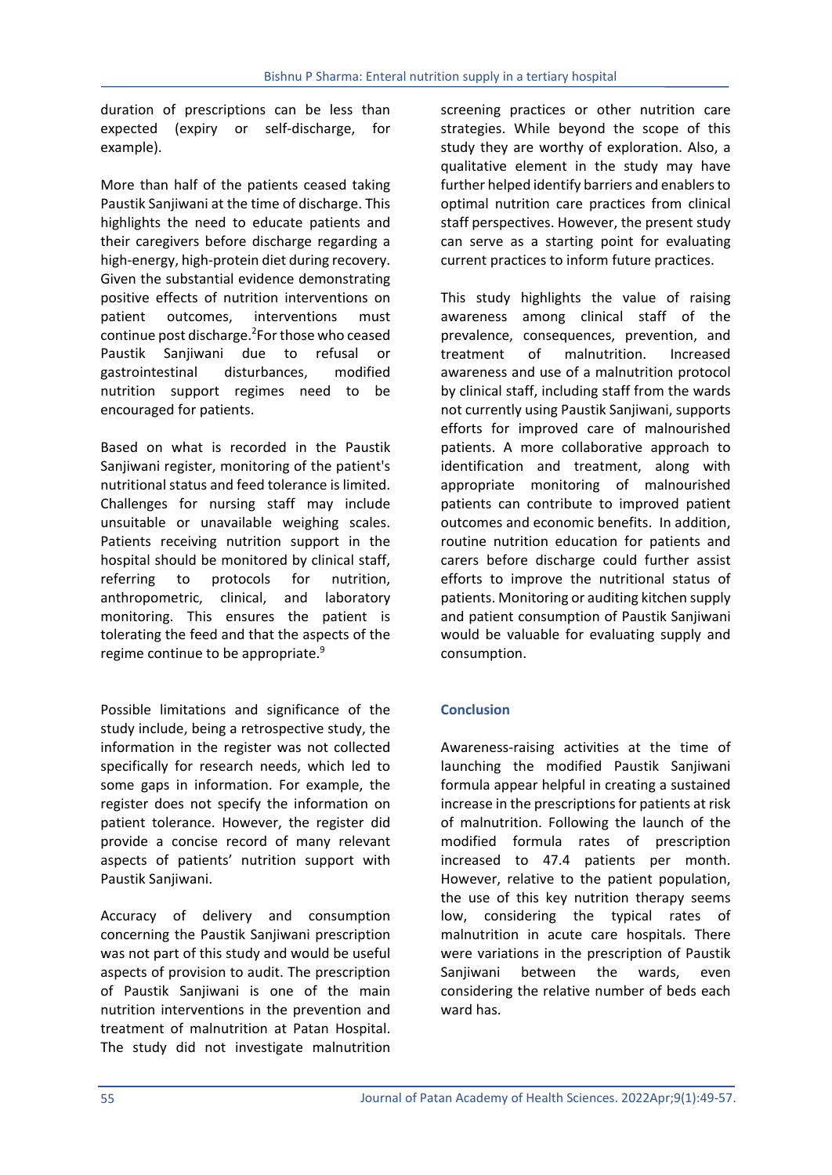duration of prescriptions can be less than expected (expiry or self-discharge, for example).

More than half of the patients ceased taking Paustik Sanjiwani at the time of discharge. This highlights the need to educate patients and their caregivers before discharge regarding a high-energy, high-protein diet during recovery. Given the substantial evidence demonstrating positive effects of nutrition interventions on patient outcomes, interventions must continue post discharge.<sup>2</sup>For those who ceased Paustik Sanjiwani due to refusal or gastrointestinal disturbances, modified nutrition support regimes need to be encouraged for patients.

Based on what is recorded in the Paustik Sanjiwani register, monitoring of the patient's nutritional status and feed tolerance is limited. Challenges for nursing staff may include unsuitable or unavailable weighing scales. Patients receiving nutrition support in the hospital should be monitored by clinical staff, referring to protocols for nutrition, anthropometric, clinical, and laboratory monitoring. This ensures the patient is tolerating the feed and that the aspects of the regime continue to be appropriate.<sup>9</sup>

Possible limitations and significance of the study include, being a retrospective study, the information in the register was not collected specifically for research needs, which led to some gaps in information. For example, the register does not specify the information on patient tolerance. However, the register did provide a concise record of many relevant aspects of patients' nutrition support with Paustik Sanjiwani.

Accuracy of delivery and consumption concerning the Paustik Sanjiwani prescription was not part of this study and would be useful aspects of provision to audit. The prescription of Paustik Sanjiwani is one of the main nutrition interventions in the prevention and treatment of malnutrition at Patan Hospital. The study did not investigate malnutrition screening practices or other nutrition care strategies. While beyond the scope of this study they are worthy of exploration. Also, a qualitative element in the study may have further helped identify barriers and enablers to optimal nutrition care practices from clinical staff perspectives. However, the present study can serve as a starting point for evaluating current practices to inform future practices.

This study highlights the value of raising awareness among clinical staff of the prevalence, consequences, prevention, and treatment of malnutrition. Increased awareness and use of a malnutrition protocol by clinical staff, including staff from the wards not currently using Paustik Sanjiwani, supports efforts for improved care of malnourished patients. A more collaborative approach to identification and treatment, along with appropriate monitoring of malnourished patients can contribute to improved patient outcomes and economic benefits. In addition, routine nutrition education for patients and carers before discharge could further assist efforts to improve the nutritional status of patients. Monitoring or auditing kitchen supply and patient consumption of Paustik Sanjiwani would be valuable for evaluating supply and consumption.

# **Conclusion**

Awareness-raising activities at the time of launching the modified Paustik Sanjiwani formula appear helpful in creating a sustained increase in the prescriptions for patients at risk of malnutrition. Following the launch of the modified formula rates of prescription increased to 47.4 patients per month. However, relative to the patient population, the use of this key nutrition therapy seems low, considering the typical rates of malnutrition in acute care hospitals. There were variations in the prescription of Paustik Sanjiwani between the wards, even considering the relative number of beds each ward has.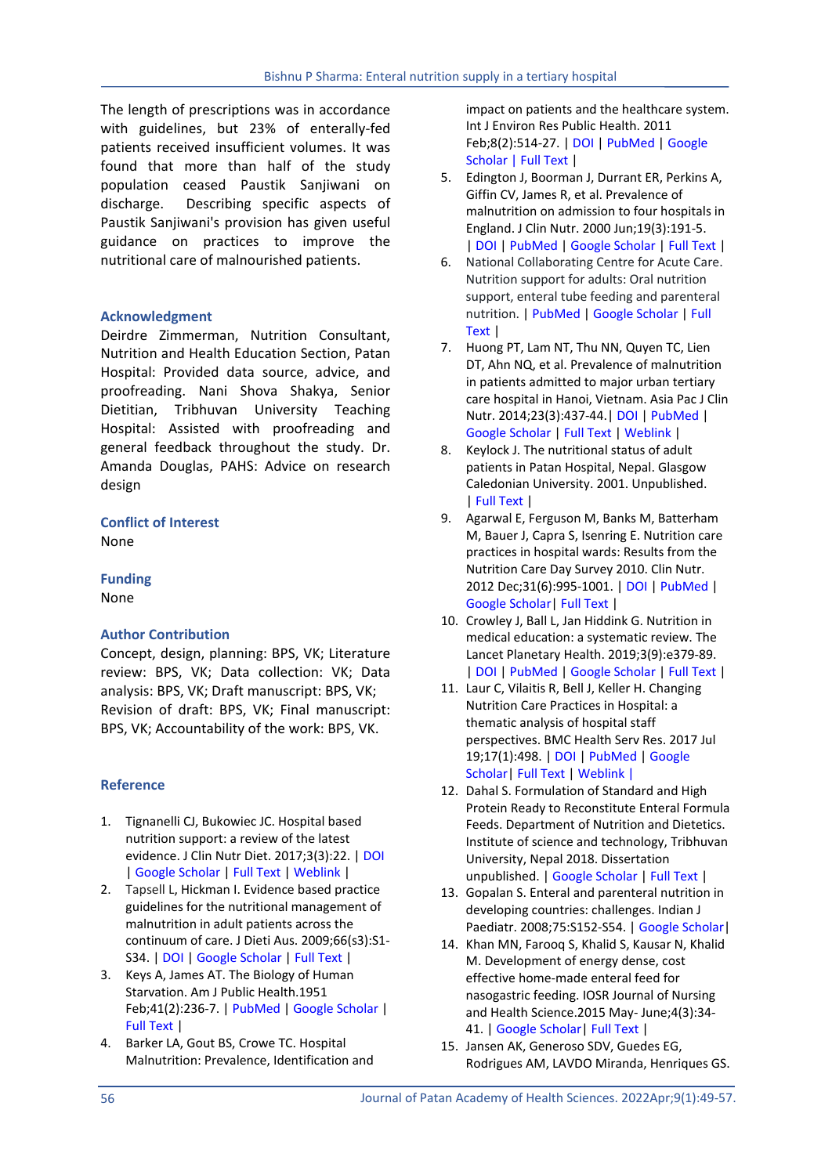The length of prescriptions was in accordance with guidelines, but 23% of enterally-fed patients received insufficient volumes. It was found that more than half of the study population ceased Paustik Sanjiwani on discharge. Describing specific aspects of Paustik Sanjiwani's provision has given useful guidance on practices to improve the nutritional care of malnourished patients.

# **Acknowledgment**

Deirdre Zimmerman, Nutrition Consultant, Nutrition and Health Education Section, Patan Hospital: Provided data source, advice, and proofreading. Nani Shova Shakya, Senior Dietitian, Tribhuvan University Teaching Hospital: Assisted with proofreading and general feedback throughout the study. Dr. Amanda Douglas, PAHS: Advice on research design

**Conflict of Interest** None

**Funding**

None

# **Author Contribution**

Concept, design, planning: BPS, VK; Literature review: BPS, VK; Data collection: VK; Data analysis: BPS, VK; Draft manuscript: BPS, VK; Revision of draft: BPS, VK; Final manuscript: BPS, VK; Accountability of the work: BPS, VK.

# **Reference**

- 1. Tignanelli CJ, Bukowiec JC. Hospital based nutrition support: a review of the latest evidence. J Clin Nutr Diet. 2017;3(3):22. | [DOI](https://doi.org/10.4172/2472-1921.100057) | [Google Scholar](https://scholar.google.com/scholar?hl=en&as_sdt=0%2C5&q=1.%09TignanelliCJ+%2CBukowiec+JC.+Hospital+Based+Nutrition+Support%3A+A+Review+of+the+Latest+Evidence.+J+ClinNutr+&btnG=) | [Full Text](https://clinical-nutrition.imedpub.com/hospital-based-nutrition-support-a-review-of-the-latest-evidence.pdf) [| Weblink](https://clinical-nutrition.imedpub.com/hospital-based-nutrition-support-a-review-of-the-latest-evidence.php?aid=20548) |
- 2. [Tapsell L, Hickman I.](https://www.cabdirect.org/cabdirect/search/?q=au%3a%22Tapsell%2c+L.%22) Evidence based practice guidelines for the nutritional management of malnutrition in adult patients across the continuum of care. J Dieti Aus. 2009;66(s3):S1- S34. [| DOI](https://doi.org/10.1111/j.1747-0080.2009.01383.x) | [Google Scholar](https://doi.org/10.1111/j.1747-0080.2009.01383.x) | [Full Text](https://onlinelibrary.wiley.com/doi/epdf/10.1111/j.1747-0080.2009.01383.x) |
- 3. Keys A, James AT. The Biology of Human Starvation. Am J Public Health.1951 Feb;41(2):236-7. [| PubMed](https://www.ncbi.nlm.nih.gov/pmc/articles/PMC1526048/) | [Google Scholar](https://scholar.google.com/scholar?q=3.%09A+Keys%2C+The+Biology+of+Human+Starvation.+Minneapolis%3A+University+of+Minnesota+Press%2C+1950.+Print+&btnG.x=0&btnG.y=0&hl=en) | [Full Text](https://www.ncbi.nlm.nih.gov/pmc/articles/PMC1526048/pdf/amjphnation00420-0101b.pdf) |
- 4. Barker LA, Gout BS, Crowe TC. Hospital Malnutrition: Prevalence, Identification and

impact on patients and the healthcare system. Int J Environ Res Public Health. 2011 Feb;8(2):514-27. | [DOI](https://doi.org/10.3390/ijerph8020514) [| PubMed](https://pubmed.ncbi.nlm.nih.gov/21556200/) | [Google](https://scholar.google.com/scholar?q=Malnutrition:+Prevalence,+Identification+and+impact+on+patients+and+the+healthcare+system.&hl=en&as_sdt=0&as_vis=1&oi=scholart)  [Scholar](https://scholar.google.com/scholar?q=Malnutrition:+Prevalence,+Identification+and+impact+on+patients+and+the+healthcare+system.&hl=en&as_sdt=0&as_vis=1&oi=scholart) [| Full Text](https://www.ncbi.nlm.nih.gov/pmc/articles/PMC3084475/pdf/ijerph-08-00514.pdf) |

- 5. Edington J, Boorman J, Durrant ER, Perkins A, Giffin CV, James R, et al. Prevalence of malnutrition on admission to four hospitals in England. J Clin Nutr. 2000 Jun;19(3):191-5. [| DOI](https://doi.org/10.1054/clnu.1999.0121) | [PubMed](https://pubmed.ncbi.nlm.nih.gov/10895110/) [| Google Scholar](https://scholar.google.com/scholar?hl=en&as_sdt=0%2C5&q=Prevalence+of+malnutrition+on+admission+to+four+hospitals+in+England&btnG=) [| Full Text](https://www.clinicalnutritionjournal.com/article/S0261-5614(99)90121-8/pdf) |
- 6. National Collaborating Centre for Acute Care. Nutrition support for adults: Oral nutrition support, enteral tube feeding and parenteral nutrition. | [PubMed](https://pubmed.ncbi.nlm.nih.gov/21309138/) [| Google Scholar](https://scholar.google.com/scholar?hl=en&as_sdt=0%2C5&q=7.%09National+Collaborating+Centre+for+Acute+Care.+Nutrition+support+in+adults%3A+Oral+nutrition+support%2C+enteral+tube+feeding+and+parenteral+nutrition.&btnG=) | [Full](https://www.ncbi.nlm.nih.gov/books/NBK49269/pdf/Bookshelf_NBK49269.pdf)  [Text](https://www.ncbi.nlm.nih.gov/books/NBK49269/pdf/Bookshelf_NBK49269.pdf) |
- 7. Huong PT, Lam NT, Thu NN, Quyen TC, Lien DT, Ahn NQ, et al. Prevalence of malnutrition in patients admitted to major urban tertiary care hospital in Hanoi, Vietnam. Asia Pac J Clin Nutr. 2014;23(3):437-44.| DOI | [PubMed](https://pubmed.ncbi.nlm.nih.gov/25164455/) | [Google Scholar](https://scholar.google.com/scholar?hl=en&as_sdt=0%2C5&q=Prevalence+of+malnutrition+in+patients+admitted+to+major+urban+tertiary+care+hospital+in+Hanoi%2C+Vietnam.+&btnG) | [Full Text](https://www.ncbi.nlm.nih.gov/pmc/articles/PMC4854651/pdf/nihms-756414.pdf) [| Weblink](https://www.ncbi.nlm.nih.gov/pmc/articles/PMC4854651/) |
- 8. Keylock J. The nutritional status of adult patients in Patan Hospital, Nepal. Glasgow Caledonian University. 2001. Unpublished. | Full Text |
- 9. Agarwal E, Ferguson M, Banks M, Batterham M, Bauer J, Capra S, Isenring E. Nutrition care practices in hospital wards: Results from the Nutrition Care Day Survey 2010. Clin Nutr. 2012 Dec;31(6):995-1001. [| DOI](https://doi.org/10.1016/j.clnu.2012.05.014) | [PubMed](https://pubmed.ncbi.nlm.nih.gov/22717261/) | [Google Scholar|](https://scholar.google.com/scholar?hl=en&as_sdt=0%2C5&q=12.%09Agarwal+E%2C+Ferguson+M%2C+Banks+M%2C+Batterham+M%2C+Bauer+J%2C+Capra+S%2C+Isenring+E.+Nutrition+care+practices+in+hospital+wards%3A+Results+from+the+Nutrition+Day+Care+Survey+2010.+Clinical+Nut) [Full Text](https://www.clinicalnutritionjournal.com/article/S0261-5614(12)00114-8/fulltext) |
- 10. Crowley J, Ball L, Jan Hiddink G. Nutrition in medical education: a systematic review. The Lancet Planetary Health. 2019;3(9):e379-89. [| DOI](https://doi.org/10.1016/s2542-5196(19)30171-8) | [PubMed](https://pubmed.ncbi.nlm.nih.gov/31538623/) [| Google Scholar](https://scholar.google.com/scholar?hl=en&as_sdt=0%2C5&q=14.%09Crowley+J%2C+Ball+L%2C+Jan+Hiddink+G.+Nutrition+in+medical+education%3A+a+systematic+review.+The+Lancet+Planetary+Health+2019%3B+3%3A+e379-e389&btnG=) [| Full Text](https://www.thelancet.com/action/showPdf?pii=S2542-5196%2819%2930171-8) |
- 11. Laur C, Vilaitis R, Bell J, Keller H. Changing Nutrition Care Practices in Hospital: a thematic analysis of hospital staff perspectives. BMC Health Serv Res. 2017 Jul 19;17(1):498. | [DOI](https://doi.org/10.1186/s12913-017-2409-7) [| PubMed](https://pubmed.ncbi.nlm.nih.gov/28724373/) [| Google](https://scholar.google.com/scholar?hl=en&as_sdt=0%2C5&q=Vilaitis+R%2C+Bell+J%2C+Keller+H.+Changing+Nutrition+Care+Practices+in+Hospital%3A+a+thematic+analysis+of+hospital+staff+perspectives.+BMC+Health+Serv+Res+17%2C+498+%282017%29&btnG=)  [Scholar|](https://scholar.google.com/scholar?hl=en&as_sdt=0%2C5&q=Vilaitis+R%2C+Bell+J%2C+Keller+H.+Changing+Nutrition+Care+Practices+in+Hospital%3A+a+thematic+analysis+of+hospital+staff+perspectives.+BMC+Health+Serv+Res+17%2C+498+%282017%29&btnG=) [Full Text](https://link.springer.com/content/pdf/10.1186/s12913-017-2409-7.pdf) | [Weblink |](https://link.springer.com/article/10.1186/s12913-017-2409-7)
- 12. Dahal S. Formulation of Standard and High Protein Ready to Reconstitute Enteral Formula Feeds. Department of Nutrition and Dietetics. Institute of science and technology, Tribhuvan University, Nepal 2018. Dissertation unpublished. [| Google Scholar](https://scholar.google.com/scholar?hl=en&as_sdt=0%2C5&q=Formulation+of+Standard+and+High+Protein+Ready+to+Reconstitute+Enteral+Formula+Feeds.+Department+of+Nutrition+and+Dietetics&btnG=) [| Full Text](http://202.45.146.37:8080/jspui/bitstream/123456789/45/1/sapan%20thesis.pdf) |
- 13. Gopalan S. Enteral and parenteral nutrition in developing countries: challenges. Indian J Paediatr. 2008;75:S152-S54. [| Google Scholar|](https://scholar.google.com/scholar?hl=en&as_sdt=0%2C5&q=Enteral+and+Parenteral+nutrition+in+developing+countries%3A+Challenges&btnG=)
- 14. Khan MN, Farooq S, Khalid S, Kausar N, Khalid M. Development of energy dense, cost effective home-made enteral feed for nasogastric feeding. IOSR Journal of Nursing and Health Science.2015 May- June;4(3):34- 41. [| Google Scholar|](https://scholar.google.com/scholar?hl=en&as_sdt=0%2C5&q=14.20.%09Khan+MN%2C+Farooq+S%2C+Khalid+S%2C+Kausar+N%2C+Kalid+M.+Development+of+energy+dense%2C+cost+effective+home-made+enteral+feed+for+nasogastic+feeding.+IOSR+Journal+of+Nursing+and+Health+Science) [Full Text](https://www.researchgate.net/profile/Memoona_Khalid4/publication/280534662_Development_of_Energy_Dense_Cost-Effective_Home-) |
- 15. Jansen AK, Generoso SDV, Guedes EG, Rodrigues AM, LAVDO Miranda, Henriques GS.